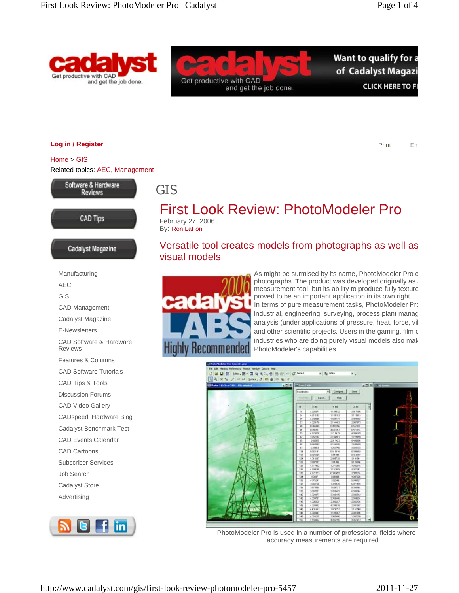



Want to qualify for a of Cadalyst Magazi **CLICK HERE TO FI** 

**Log in / Register**

Print Em

Home > GIS Related topics: AEC, Management



**CAD Tips** 

Cadalyst Magazine

## GIS



By: Ron LaFon

Versatile tool creates models from photographs as well as visual models



As might be surmised by its name, PhotoModeler Pro c photographs. The product was developed originally as a measurement tool, but its ability to produce fully texture proved to be an important application in its own right. In terms of pure measurement tasks, PhotoModeler Pro industrial, engineering, surveying, process plant manag analysis (under applications of pressure, heat, force, vib and other scientific projects. Users in the gaming, film c industries who are doing purely visual models also mak PhotoModeler's capabilities.



PhotoModeler Pro is used in a number of professional fields where I accuracy measurements are required.

Manufacturing AEC GIS CAD Management Cadalyst Magazine E-Newsletters CAD Software & Hardware Reviews Features & Columns CAD Software Tutorials CAD Tips & Tools Discussion Forums CAD Video Gallery CADspeed: Hardware Blog Cadalyst Benchmark Test CAD Events Calendar CAD Cartoons Subscriber Services Job Search Cadalyst Store Advertising

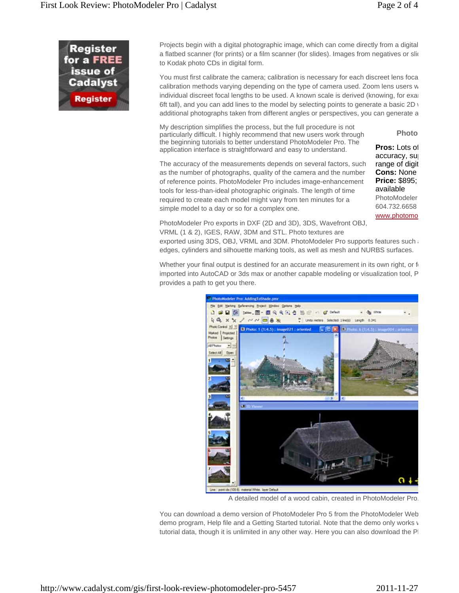

Projects begin with a digital photographic image, which can come directly from a digital a flatbed scanner (for prints) or a film scanner (for slides). Images from negatives or slid to Kodak photo CDs in digital form.

You must first calibrate the camera; calibration is necessary for each discreet lens foca calibration methods varying depending on the type of camera used. Zoom lens users w individual discreet focal lengths to be used. A known scale is derived (knowing, for exam 6ft tall), and you can add lines to the model by selecting points to generate a basic  $2D_y$ additional photographs taken from different angles or perspectives, you can generate a

My description simplifies the process, but the full procedure is not particularly difficult. I highly recommend that new users work through the beginning tutorials to better understand PhotoModeler Pro. The application interface is straightforward and easy to understand.

**Pros:** Lots of accuracy, sup range of digit **Cons:** None **Price:** \$895; available PhotoModeler 604.732.6658 www.photomo

**Photo**

The accuracy of the measurements depends on several factors, such as the number of photographs, quality of the camera and the number of reference points. PhotoModeler Pro includes image-enhancement tools for less-than-ideal photographic originals. The length of time required to create each model might vary from ten minutes for a simple model to a day or so for a complex one.

PhotoModeler Pro exports in DXF (2D and 3D), 3DS, Wavefront OBJ, VRML (1 & 2), IGES, RAW, 3DM and STL. Photo textures are

exported using 3DS, OBJ, VRML and 3DM. PhotoModeler Pro supports features such a edges, cylinders and silhouette marking tools, as well as mesh and NURBS surfaces.

Whether your final output is destined for an accurate measurement in its own right, or  $f_0$ imported into AutoCAD or 3ds max or another capable modeling or visualization tool, P provides a path to get you there.



A detailed model of a wood cabin, created in PhotoModeler Pro.

You can download a demo version of PhotoModeler Pro 5 from the PhotoModeler Web demo program, Help file and a Getting Started tutorial. Note that the demo only works v tutorial data, though it is unlimited in any other way. Here you can also download the PI